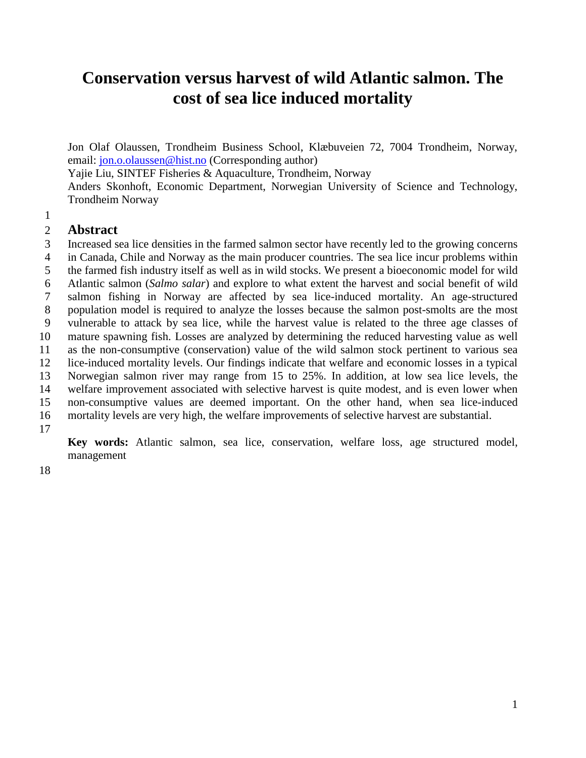# **Conservation versus harvest of wild Atlantic salmon. The cost of sea lice induced mortality**

Jon Olaf Olaussen, Trondheim Business School, Klæbuveien 72, 7004 Trondheim, Norway, email: [jon.o.olaussen@hist.no](mailto:jon.o.olaussen@hist.no) (Corresponding author)

Yajie Liu, SINTEF Fisheries & Aquaculture, Trondheim, Norway

Anders Skonhoft, Economic Department, Norwegian University of Science and Technology, Trondheim Norway

## **Abstract**

 Increased sea lice densities in the farmed salmon sector have recently led to the growing concerns in Canada, Chile and Norway as the main producer countries. The sea lice incur problems within the farmed fish industry itself as well as in wild stocks. We present a bioeconomic model for wild Atlantic salmon (*Salmo salar*) and explore to what extent the harvest and social benefit of wild salmon fishing in Norway are affected by sea lice-induced mortality. An age-structured population model is required to analyze the losses because the salmon post-smolts are the most vulnerable to attack by sea lice, while the harvest value is related to the three age classes of mature spawning fish. Losses are analyzed by determining the reduced harvesting value as well as the non-consumptive (conservation) value of the wild salmon stock pertinent to various sea lice-induced mortality levels. Our findings indicate that welfare and economic losses in a typical Norwegian salmon river may range from 15 to 25%. In addition, at low sea lice levels, the welfare improvement associated with selective harvest is quite modest, and is even lower when non-consumptive values are deemed important. On the other hand, when sea lice-induced mortality levels are very high, the welfare improvements of selective harvest are substantial.

**Key words:** Atlantic salmon, sea lice, conservation, welfare loss, age structured model, management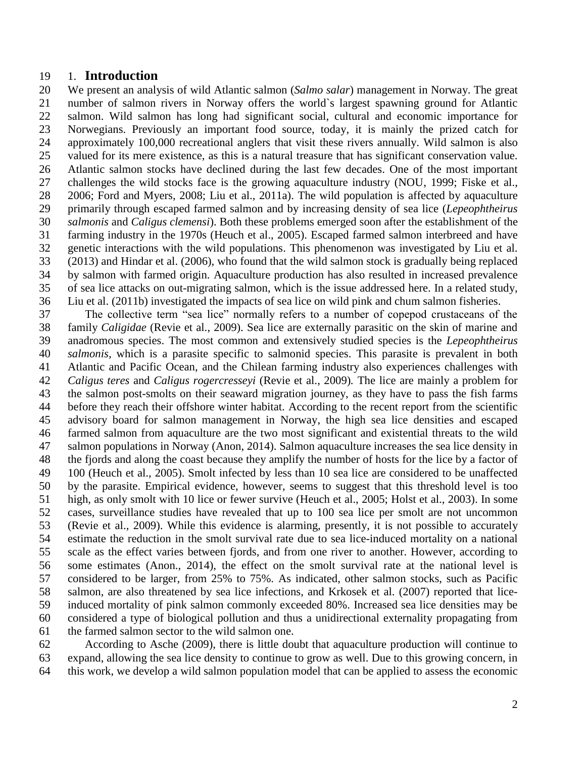### 1. **Introduction**

 We present an analysis of wild Atlantic salmon (*Salmo salar*) management in Norway. The great number of salmon rivers in Norway offers the world`s largest spawning ground for Atlantic salmon. Wild salmon has long had significant social, cultural and economic importance for Norwegians. Previously an important food source, today, it is mainly the prized catch for approximately 100,000 recreational anglers that visit these rivers annually. Wild salmon is also valued for its mere existence, as this is a natural treasure that has significant conservation value. Atlantic salmon stocks have declined during the last few decades. One of the most important challenges the wild stocks face is the growing aquaculture industry (NOU, 1999; Fiske et al., 2006; Ford and Myers, 2008; Liu et al., 2011a). The wild population is affected by aquaculture primarily through escaped farmed salmon and by increasing density of sea lice (*Lepeophtheirus salmonis* and *Caligus clemensi*). Both these problems emerged soon after the establishment of the farming industry in the 1970s (Heuch et al., 2005). Escaped farmed salmon interbreed and have genetic interactions with the wild populations. This phenomenon was investigated by Liu et al. (2013) and Hindar et al. (2006), who found that the wild salmon stock is gradually being replaced by salmon with farmed origin. Aquaculture production has also resulted in increased prevalence of sea lice attacks on out-migrating salmon, which is the issue addressed here. In a related study, Liu et al. (2011b) investigated the impacts of sea lice on wild pink and chum salmon fisheries.

 The collective term "sea lice" normally refers to a number of copepod crustaceans of the family *Caligidae* (Revie et al., 2009). Sea lice are externally parasitic on the skin of marine and anadromous species. The most common and extensively studied species is the *Lepeophtheirus salmonis,* which is a parasite specific to salmonid species. This parasite is prevalent in both Atlantic and Pacific Ocean, and the Chilean farming industry also experiences challenges with *Caligus teres* and *Caligus rogercresseyi* (Revie et al., 2009)*.* The lice are mainly a problem for the salmon post-smolts on their seaward migration journey, as they have to pass the fish farms before they reach their offshore winter habitat. According to the recent report from the scientific advisory board for salmon management in Norway, the high sea lice densities and escaped farmed salmon from aquaculture are the two most significant and existential threats to the wild salmon populations in Norway (Anon, 2014). Salmon aquaculture increases the sea lice density in the fjords and along the coast because they amplify the number of hosts for the lice by a factor of 100 (Heuch et al., 2005). Smolt infected by less than 10 sea lice are considered to be unaffected by the parasite. Empirical evidence, however, seems to suggest that this threshold level is too high, as only smolt with 10 lice or fewer survive (Heuch et al., 2005; Holst et al., 2003). In some cases, surveillance studies have revealed that up to 100 sea lice per smolt are not uncommon (Revie et al., 2009). While this evidence is alarming, presently, it is not possible to accurately estimate the reduction in the smolt survival rate due to sea lice-induced mortality on a national scale as the effect varies between fjords, and from one river to another. However, according to some estimates (Anon., 2014), the effect on the smolt survival rate at the national level is considered to be larger, from 25% to 75%. As indicated, other salmon stocks, such as Pacific salmon, are also threatened by sea lice infections, and Krkosek et al. (2007) reported that lice- induced mortality of pink salmon commonly exceeded 80%. Increased sea lice densities may be considered a type of biological pollution and thus a unidirectional externality propagating from the farmed salmon sector to the wild salmon one.

 According to Asche (2009), there is little doubt that aquaculture production will continue to expand, allowing the sea lice density to continue to grow as well. Due to this growing concern, in this work, we develop a wild salmon population model that can be applied to assess the economic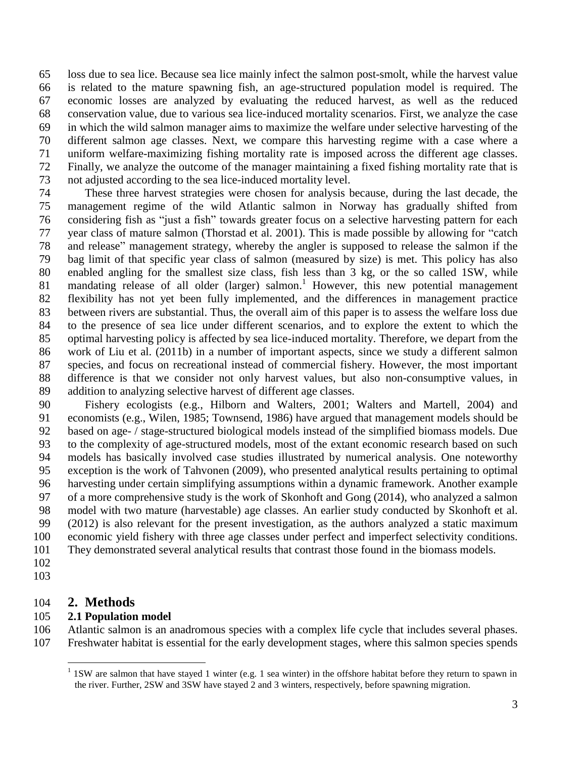loss due to sea lice. Because sea lice mainly infect the salmon post-smolt, while the harvest value is related to the mature spawning fish, an age-structured population model is required. The economic losses are analyzed by evaluating the reduced harvest, as well as the reduced conservation value, due to various sea lice-induced mortality scenarios. First, we analyze the case in which the wild salmon manager aims to maximize the welfare under selective harvesting of the different salmon age classes. Next, we compare this harvesting regime with a case where a uniform welfare-maximizing fishing mortality rate is imposed across the different age classes. Finally, we analyze the outcome of the manager maintaining a fixed fishing mortality rate that is not adjusted according to the sea lice-induced mortality level.

 These three harvest strategies were chosen for analysis because, during the last decade, the management regime of the wild Atlantic salmon in Norway has gradually shifted from considering fish as "just a fish" towards greater focus on a selective harvesting pattern for each year class of mature salmon (Thorstad et al. 2001). This is made possible by allowing for "catch and release" management strategy, whereby the angler is supposed to release the salmon if the bag limit of that specific year class of salmon (measured by size) is met. This policy has also enabled angling for the smallest size class, fish less than 3 kg, or the so called 1SW, while 81 mandating release of all older (larger) salmon.<sup>1</sup> However, this new potential management flexibility has not yet been fully implemented, and the differences in management practice between rivers are substantial. Thus, the overall aim of this paper is to assess the welfare loss due to the presence of sea lice under different scenarios, and to explore the extent to which the optimal harvesting policy is affected by sea lice-induced mortality. Therefore, we depart from the work of Liu et al. (2011b) in a number of important aspects, since we study a different salmon species, and focus on recreational instead of commercial fishery. However, the most important difference is that we consider not only harvest values, but also non-consumptive values, in addition to analyzing selective harvest of different age classes.

 Fishery ecologists (e.g., Hilborn and Walters, 2001; Walters and Martell, 2004) and economists (e.g., Wilen, 1985; Townsend, 1986) have argued that management models should be based on age- / stage-structured biological models instead of the simplified biomass models. Due to the complexity of age-structured models, most of the extant economic research based on such models has basically involved case studies illustrated by numerical analysis. One noteworthy exception is the work of Tahvonen (2009), who presented analytical results pertaining to optimal harvesting under certain simplifying assumptions within a dynamic framework. Another example of a more comprehensive study is the work of Skonhoft and Gong (2014), who analyzed a salmon model with two mature (harvestable) age classes. An earlier study conducted by Skonhoft et al. (2012) is also relevant for the present investigation, as the authors analyzed a static maximum economic yield fishery with three age classes under perfect and imperfect selectivity conditions. They demonstrated several analytical results that contrast those found in the biomass models.

- 
- 

## **2. Methods**

 $\overline{a}$ 

## **2.1 Population model**

 Atlantic salmon is an anadromous species with a complex life cycle that includes several phases. Freshwater habitat is essential for the early development stages, where this salmon species spends

 1SW are salmon that have stayed 1 winter (e.g. 1 sea winter) in the offshore habitat before they return to spawn in the river. Further, 2SW and 3SW have stayed 2 and 3 winters, respectively, before spawning migration.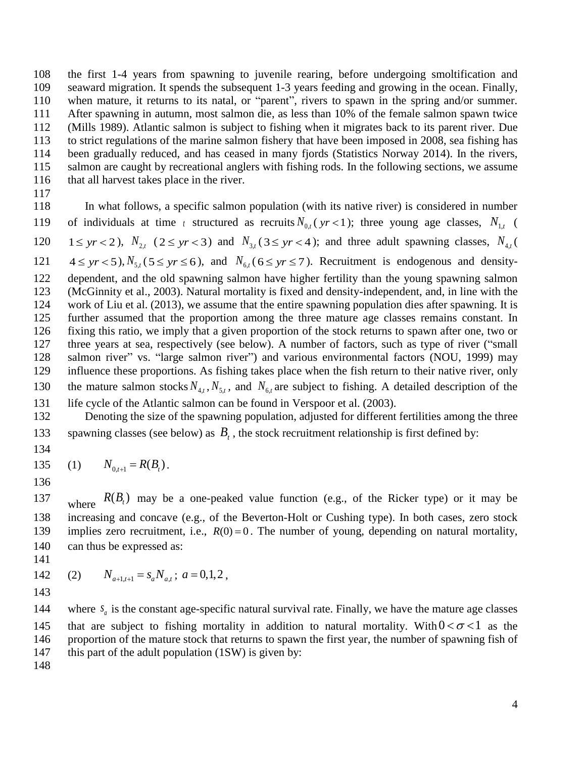the first 1-4 years from spawning to juvenile rearing, before undergoing smoltification and seaward migration. It spends the subsequent 1-3 years feeding and growing in the ocean. Finally, when mature, it returns to its natal, or "parent", rivers to spawn in the spring and/or summer. After spawning in autumn, most salmon die, as less than 10% of the female salmon spawn twice (Mills 1989). Atlantic salmon is subject to fishing when it migrates back to its parent river. Due to strict regulations of the marine salmon fishery that have been imposed in 2008, sea fishing has been gradually reduced, and has ceased in many fjords (Statistics Norway 2014). In the rivers, salmon are caught by recreational anglers with fishing rods. In the following sections, we assume that all harvest takes place in the river.

 In what follows, a specific salmon population (with its native river) is considered in number 119 of individuals at time *t* structured as recruits  $N_{0,t}$  (*yr* <1); three young age classes,  $N_{1,t}$  (  $1 \leq yr < 2$ ),  $N_{2,t}$  ( $2 \leq yr < 3$ ) and  $N_{3,t}$  ( $3 \leq yr < 4$ ); and three adult spawning classes,  $N_{4,t}$  (  $4 \leq yr < 5$ ),  $N_{5,t}$  ( $5 \leq yr \leq 6$ ), and  $N_{6,t}$  ( $6 \leq yr \leq 7$ ). Recruitment is endogenous and density- dependent, and the old spawning salmon have higher fertility than the young spawning salmon (McGinnity et al., 2003). Natural mortality is fixed and density-independent, and, in line with the work of Liu et al. (2013), we assume that the entire spawning population dies after spawning. It is further assumed that the proportion among the three mature age classes remains constant. In fixing this ratio, we imply that a given proportion of the stock returns to spawn after one, two or three years at sea, respectively (see below). A number of factors, such as type of river ("small salmon river" vs. "large salmon river") and various environmental factors (NOU, 1999) may influence these proportions. As fishing takes place when the fish return to their native river, only 130 the mature salmon stocks  $N_{4,t}$ ,  $N_{5,t}$ , and  $N_{6,t}$  are subject to fishing. A detailed description of the life cycle of the Atlantic salmon can be found in Verspoor et al. (2003).

 Denoting the size of the spawning population, adjusted for different fertilities among the three 133 spawning classes (see below) as  $B_t$ , the stock recruitment relationship is first defined by:

135 (1) 
$$
N_{0,t+1} = R(B_t)
$$
.

where  $R(B_t)$  may be a one-peaked value function (e.g., of the Ricker type) or it may be increasing and concave (e.g., of the Beverton-Holt or Cushing type). In both cases, zero stock 139 implies zero recruitment, i.e.,  $R(0) = 0$ . The number of young, depending on natural mortality, can thus be expressed as:

142 (2) 
$$
N_{a+1,t+1} = s_a N_{a,t}
$$
;  $a = 0,1,2$ ,

where  $s_a$  is the constant age-specific natural survival rate. Finally, we have the mature age classes 145 that are subject to fishing mortality in addition to natural mortality. With  $0 < \sigma < 1$  as the proportion of the mature stock that returns to spawn the first year, the number of spawning fish of this part of the adult population (1SW) is given by: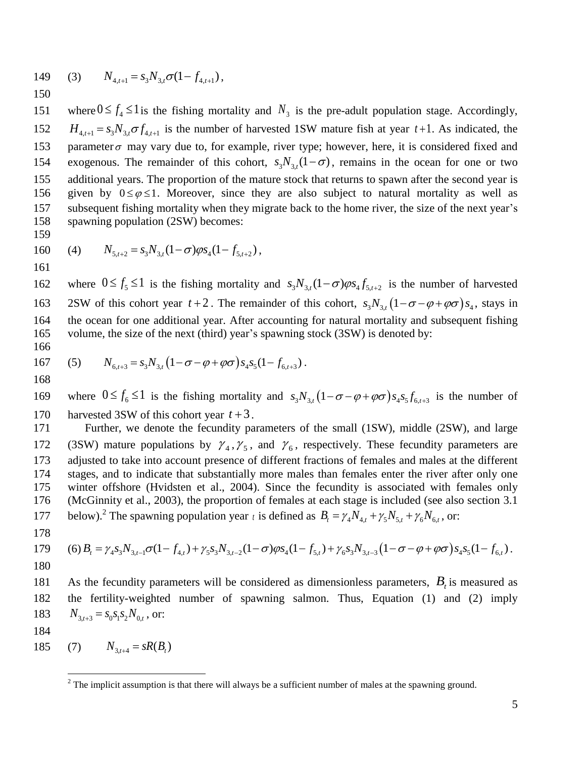149 (3) 
$$
N_{4,t+1} = s_3 N_{3,t} \sigma (1 - f_{4,t+1}),
$$

151 where  $0 \le f_4 \le 1$  is the fishing mortality and  $N_3$  is the pre-adult population stage. Accordingly, 152  $H_{4,t+1} = s_3 N_{3,t} \sigma f_{4,t+1}$  is the number of harvested 1SW mature fish at year  $t+1$ . As indicated, the 153 parameter  $\sigma$  may vary due to, for example, river type; however, here, it is considered fixed and exogenous. The remainder of this cohort,  $s_3N_{3,t}(1-\sigma)$ , remains in the ocean for one or two 154 155 additional years. The proportion of the mature stock that returns to spawn after the second year is 156 given by  $0 \le \varphi \le 1$ . Moreover, since they are also subject to natural mortality as well as 157 subsequent fishing mortality when they migrate back to the home river, the size of the next year's 158 spawning population (2SW) becomes:

159

159  
160 (4) 
$$
N_{5,t+2} = s_3 N_{3,t} (1-\sigma) \varphi s_4 (1-f_{5,t+2}),
$$

161

162 where  $0 \le f_5 \le 1$  is the fishing mortality and  $s_3 N_{3,t} (1-\sigma) \varphi s_4 f_{5,t+2}$  is the number of harvested 163 2SW of this cohort year  $t + 2$ . The remainder of this cohort,  $s_3 N_{3,t} (1 - \sigma - \varphi + \varphi \sigma) s_4$ , stays in 164 the ocean for one additional year. After accounting for natural mortality and subsequent fishing 165 volume, the size of the next (third) year's spawning stock (3SW) is denoted by:

166

166  
167 (5) 
$$
N_{6,t+3} = s_3 N_{3,t} (1 - \sigma - \varphi + \varphi \sigma) s_4 s_5 (1 - f_{6,t+3}).
$$

168

169 where  $0 \le f_6 \le 1$  is the fishing mortality and  $s_3 N_{3,t} (1 - \sigma - \varphi + \varphi \sigma) s_4 s_5 f_{6,t+3}$  is the number of 170 harvested 3SW of this cohort year  $t + 3$ .

171 Further, we denote the fecundity parameters of the small (1SW), middle (2SW), and large (3SW) mature populations by  $\gamma_4, \gamma_5$ , and  $\gamma_6$ , respectively. These fecundity parameters are 172 173 adjusted to take into account presence of different fractions of females and males at the different 174 stages, and to indicate that substantially more males than females enter the river after only one 175 winter offshore (Hvidsten et al., 2004). Since the fecundity is associated with females only 176 (McGinnity et al., 2003), the proportion of females at each stage is included (see also section 3.1 below).<sup>2</sup> The spawning population year *t* is defined as  $B_t = \gamma_4 N_{4,t} + \gamma_5 N_{5,t} + \gamma_6 N_{6,t}$ , or: 177 (McGinnity et al., 2003), the proportion of females at each stage is included (see also section 3.1<br>177 below).<sup>2</sup> The spawning population year *t* is defined as  $B_t = \gamma_4 N_{4,t} + \gamma_5 N_{5,t} + \gamma_6 N_{6,t}$ , or:<br>178 (6)  $B_t = \gamma_4 s_3$ 

178

179 (6) 
$$
B_t = \gamma_4 s_3 N_{3,t-1} \sigma (1 - f_{4,t}) + \gamma_5 s_3 N_{3,t-2} (1 - \sigma) \varphi s_4 (1 - f_{5,t}) + \gamma_6 s_3 N_{3,t-3} (1 - \sigma - \varphi + \varphi \sigma) s_4 s_5 (1 - f_{6,t})
$$
.  
180

181 As the fecundity parameters will be considered as dimensionless parameters,  $B_t$  is measured as 182 the fertility-weighted number of spawning salmon. Thus, Equation (1) and (2) imply 183  $N_{3,t+3} = s_0 s_1 s_2 N_{0,t}$ , or:

184

 $\overline{a}$ 

(7)  $N_{3, t+4} = sR(B_t)$ 185

<sup>&</sup>lt;sup>2</sup> The implicit assumption is that there will always be a sufficient number of males at the spawning ground.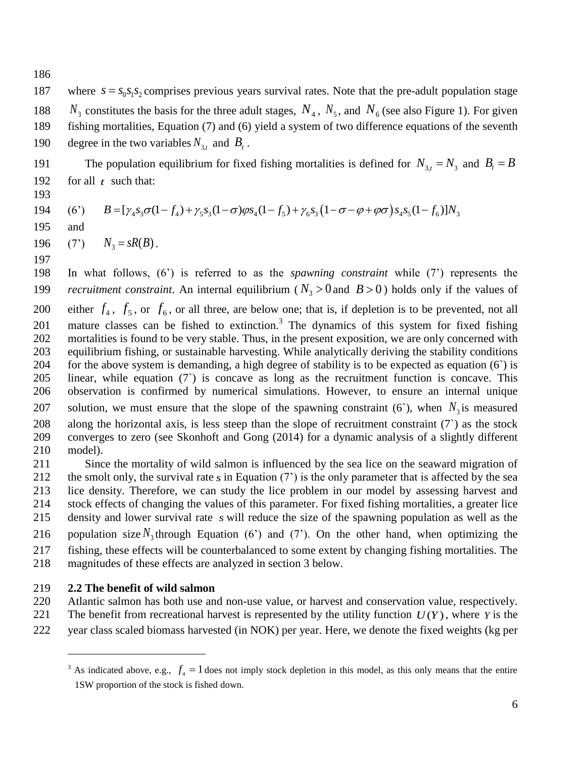where  $s = s_0 s_1 s_2$  comprises previous years survival rates. Note that the pre-adult population stage 187 188  $N_3$  constitutes the basis for the three adult stages,  $N_4$ ,  $N_5$ , and  $N_6$  (see also Figure 1). For given 189 fishing mortalities, Equation (7) and (6) yield a system of two difference equations of the seventh 190 degree in the two variables  $N_{3,t}$  and  $B_t$ .

The population equilibrium for fixed fishing mortalities is defined for  $N_{3,t} = N_3$  and  $B_t = B$ 192 for all  $t$  such that:

193

194  $(6')$  $B = [\gamma_4 s_3 \sigma (1 - f_4) + \gamma_5 s_3 (1 - \sigma) \varphi s_4 (1 - f_5) + \gamma_6 s_3 (1 - \sigma - \varphi + \varphi \sigma) s_4 s_5 (1 - f_6)] N_3$ 

- 195 and
- (7')  $N_3 = sR(B)$ . 196
- 197

198 In what follows, (6') is referred to as the *spawning constraint* while (7') represents the *recruitment constraint*. An internal equilibrium ( $N_3 > 0$  and  $B > 0$ ) holds only if the values of 199 either  $f_4$ ,  $f_5$ , or  $f_6$ , or all three, are below one; that is, if depletion is to be prevented, not all 200 201 mature classes can be fished to extinction.<sup>3</sup> The dynamics of this system for fixed fishing 202 mortalities is found to be very stable. Thus, in the present exposition, we are only concerned with 203 equilibrium fishing, or sustainable harvesting. While analytically deriving the stability conditions 204 for the above system is demanding, a high degree of stability is to be expected as equation  $(6)$  is 205 linear, while equation (7`) is concave as long as the recruitment function is concave. This 206 observation is confirmed by numerical simulations. However, to ensure an internal unique 207 solution, we must ensure that the slope of the spawning constraint (6), when  $N_3$  is measured 208 along the horizontal axis, is less steep than the slope of recruitment constraint (7`) as the stock 209 converges to zero (see Skonhoft and Gong (2014) for a dynamic analysis of a slightly different 210 model).

 Since the mortality of wild salmon is influenced by the sea lice on the seaward migration of 212 the smolt only, the survival rate  $s$  in Equation  $(7')$  is the only parameter that is affected by the sea lice density. Therefore, we can study the lice problem in our model by assessing harvest and stock effects of changing the values of this parameter. For fixed fishing mortalities, a greater lice density and lower survival rate *s* will reduce the size of the spawning population as well as the 216 population size  $N_3$  through Equation (6<sup>'</sup>) and (7<sup>'</sup>). On the other hand, when optimizing the fishing, these effects will be counterbalanced to some extent by changing fishing mortalities. The magnitudes of these effects are analyzed in section 3 below.

#### 219 **2.2 The benefit of wild salmon**

 $\overline{a}$ 

- 220 Atlantic salmon has both use and non-use value, or harvest and conservation value, respectively.
- 221 The benefit from recreational harvest is represented by the utility function  $U(Y)$ , where Y is the
- 222 year class scaled biomass harvested (in NOK) per year. Here, we denote the fixed weights (kg per

<sup>&</sup>lt;sup>3</sup> As indicated above, e.g.,  $f_4 = 1$  does not imply stock depletion in this model, as this only means that the entire 1SW proportion of the stock is fished down.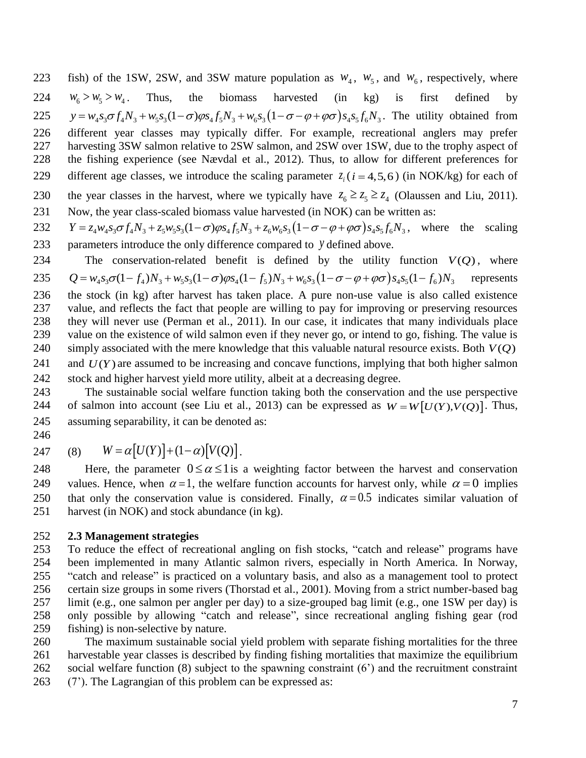223 fish) of the 1SW, 2SW, and 3SW mature population as  $w_4$ ,  $w_5$ , and  $w_6$ , respectively, where  $w_6 > w_5 > w_4$ . Thus, the biomass harvested (in kg) is first defined by Fish) of the 1SW, 2SW, and 3SW mature population as  $w_4$ ,  $w_5$ , and  $w_6$ , respectively, where  $w_6 > w_5 > w_4$ . Thus, the biomass harvested (in kg) is first defined by  $y = w_4 s_3 \sigma f_4 N_3 + w_5 s_3 (1 - \sigma) \varphi s_4 f_5 N_3 + w_6 s_3 (1 - \$  different year classes may typically differ. For example, recreational anglers may prefer harvesting 3SW salmon relative to 2SW salmon, and 2SW over 1SW, due to the trophy aspect of the fishing experience (see Nævdal et al., 2012). Thus, to allow for different preferences for different age classes, we introduce the scaling parameter  $z_i$  ( $i = 4, 5, 6$ ) (in NOK/kg) for each of the year classes in the harvest, where we typically have  $z_6 \ge z_5 \ge z_4$  (Olaussen and Liu, 2011). Now, the year class-scaled biomass value harvested (in NOK) can be written as: the year classes in the harvest, where we typically have  $z_6 \ge z_5 \ge z_4$  (C<br>Now, the year class-scaled biomass value harvested (in NOK) can be writ<br> $Y = z_4 w_4 s_3 \sigma f_4 N_3 + z_5 w_5 s_3 (1 - \sigma) \varphi s_4 f_5 N_3 + z_6 w_6 s_3 (1 - \sigma - \varphi + \varphi \sigma$ 

 , where the scaling parameters introduce the only difference compared to *y* defined above.

234 The conservation-related benefit is defined by the utility function  $V(Q)$ , where  $Y = z_4 w_4 s_3 \sigma f_4 N_3 + z_5 w_5 s_3 (1 - \sigma) \varphi s_4 f_5 N_3 + z_6 w_6 s_3 (1 - \sigma - \varphi + \varphi \sigma) s_4 s_5 f_6 N_3$ , where the sparameters introduce the only difference compared to *y* defined above.<br>The conservation-related benefit is defined by th represents the stock (in kg) after harvest has taken place. A pure non-use value is also called existence value, and reflects the fact that people are willing to pay for improving or preserving resources they will never use (Perman et al., 2011). In our case, it indicates that many individuals place value on the existence of wild salmon even if they never go, or intend to go, fishing. The value is 240 simply associated with the mere knowledge that this valuable natural resource exists. Both  $V(Q)$ 241 and  $U(Y)$  are assumed to be increasing and concave functions, implying that both higher salmon stock and higher harvest yield more utility, albeit at a decreasing degree.

 The sustainable social welfare function taking both the conservation and the use perspective 244 of salmon into account (see Liu et al., 2013) can be expressed as  $W = W[U(Y), V(Q)]$ . Thus, assuming separability, it can be denoted as:

 (8)  $W = \alpha [U(Y)] + (1 - \alpha)[V(Q)].$ 

248 Here, the parameter  $0 \le \alpha \le 1$  is a weighting factor between the harvest and conservation 249 values. Hence, when  $\alpha = 1$ , the welfare function accounts for harvest only, while  $\alpha = 0$  implies 250 that only the conservation value is considered. Finally,  $\alpha = 0.5$  indicates similar valuation of harvest (in NOK) and stock abundance (in kg).

## **2.3 Management strategies**

 To reduce the effect of recreational angling on fish stocks, "catch and release" programs have been implemented in many Atlantic salmon rivers, especially in North America. In Norway, "catch and release" is practiced on a voluntary basis, and also as a management tool to protect certain size groups in some rivers (Thorstad et al., 2001). Moving from a strict number-based bag limit (e.g., one salmon per angler per day) to a size-grouped bag limit (e.g., one 1SW per day) is only possible by allowing "catch and release", since recreational angling fishing gear (rod fishing) is non-selective by nature.

 The maximum sustainable social yield problem with separate fishing mortalities for the three harvestable year classes is described by finding fishing mortalities that maximize the equilibrium social welfare function (8) subject to the spawning constraint (6') and the recruitment constraint (7'). The Lagrangian of this problem can be expressed as: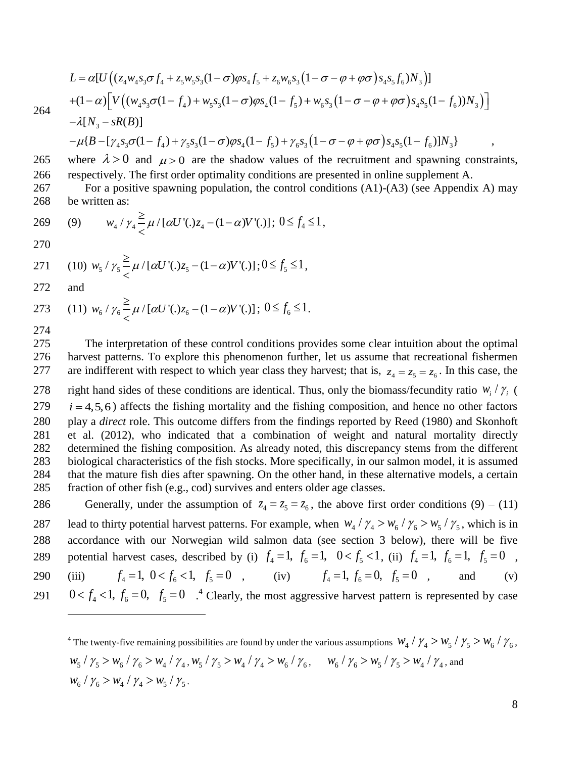$$
L = \alpha [U((z_4w_4s_3\sigma f_4 + z_5w_5s_3(1-\sigma)\varphi s_4f_5 + z_6w_6s_3(1-\sigma-\varphi+\varphi\sigma)s_4s_5f_6)N_3)]
$$
  
+ 
$$
(1-\alpha)[V((w_4s_3\sigma(1-f_4) + w_5s_3(1-\sigma)\varphi s_4(1-f_5) + w_6s_3(1-\sigma-\varphi+\varphi\sigma)s_4s_5(1-f_6))N_3)]
$$

$$
- \lambda[N_3 - sR(B)]
$$

$$
- \mu{B - [\gamma_4s_3\sigma(1-f_4) + \gamma_5s_3(1-\sigma)\varphi s_4(1-f_5) + \gamma_6s_3(1-\sigma-\varphi+\varphi\sigma)s_4s_5(1-f_6)]N_3},
$$

265 where  $\lambda > 0$  and  $\mu > 0$  are the shadow values of the recruitment and spawning constraints, 266 respectively. The first order optimality conditions are presented in online supplement A.

267 For a positive spawning population, the control conditions (A1)-(A3) (see Appendix A) may 268 be written as:

269 *or written as.*  
269 (9) 
$$
w_4 / \gamma_4 \frac{\ge}{\lt} \mu / [\alpha U'(\cdot) z_4 - (1 - \alpha) V'(\cdot)]; 0 \le f_4 \le 1,
$$

270

264

270  
271 (10) 
$$
w_5 / \gamma_5 \frac{\ge}{\lt} \mu / [\alpha U'(.)z_5 - (1 - \alpha)V'(.)]; 0 \le f_5 \le 1
$$
,

272 and

 $\overline{a}$ 

272 and  
273 (11) 
$$
w_6 / \gamma_6 \frac{\ge}{\lt} \mu / [\alpha U'(\cdot) z_6 - (1 - \alpha) V'(\cdot)]; 0 \le f_6 \le 1
$$
.

274

275 The interpretation of these control conditions provides some clear intuition about the optimal 276 harvest patterns. To explore this phenomenon further, let us assume that recreational fishermen are indifferent with respect to which year class they harvest; that is,  $z_4 = z_5 = z_6$ . In this case, the 277 right hand sides of these conditions are identical. Thus, only the biomass/fecundity ratio  $w_i / \gamma_i$  ( 278 279  $i = 4, 5, 6$ ) affects the fishing mortality and the fishing composition, and hence no other factors 280 play a *direct* role. This outcome differs from the findings reported by Reed (1980) and Skonhoft 281 et al. (2012), who indicated that a combination of weight and natural mortality directly 282 determined the fishing composition. As already noted, this discrepancy stems from the different 283 biological characteristics of the fish stocks. More specifically, in our salmon model, it is assumed 284 that the mature fish dies after spawning. On the other hand, in these alternative models, a certain 285 fraction of other fish (e.g., cod) survives and enters older age classes.

Generally, under the assumption of  $z_4 = z_5 = z_6$ , the above first order conditions (9) – (11) 286 lead to thirty potential harvest patterns. For example, when  $w_4 / \gamma_4 > w_6 / \gamma_6 > w_5 / \gamma_5$ , which is in 287 288 accordance with our Norwegian wild salmon data (see section 3 below), there will be five potential harvest cases, described by (i)  $f_4 = 1$ ,  $f_6 = 1$ ,  $0 < f_5 < 1$ , (ii)  $f_4 = 1$ ,  $f_6 = 1$ ,  $f_5 = 0$ , 289 (iii)  $f_4 = 1, 0 < f_6 < 1, f_5 = 0$ , (iv)  $f_4 = 1, f_6 = 0, f_5 = 0$ , and (v) 290  $0 < f_4 < 1, f_6 = 0, f_5 = 0$ . 291  $0 < f_4 < 1, f_6 = 0, f_5 = 0$ . <sup>4</sup> Clearly, the most aggressive harvest pattern is represented by case

<sup>4</sup> The twenty-five remaining possibilities are found by under the various assumptions  $w_4 / \gamma_4 > w_5 / \gamma_5 > w_6 / \gamma_6$ ,  $w_5 / \gamma_5 > w_6 / \gamma_6 > w_4 / \gamma_4, w_5 / \gamma_5 > w_4 / \gamma_4 > w_6 / \gamma_6,$   $w_6 / \gamma_6 > w_5 / \gamma_5 > w_4 / \gamma_4$ , and  $w_{6}$  /  $\gamma_{6}$  >  $w_{4}$  /  $\gamma_{4}$  >  $w_{5}$  /  $\gamma_{5}$ .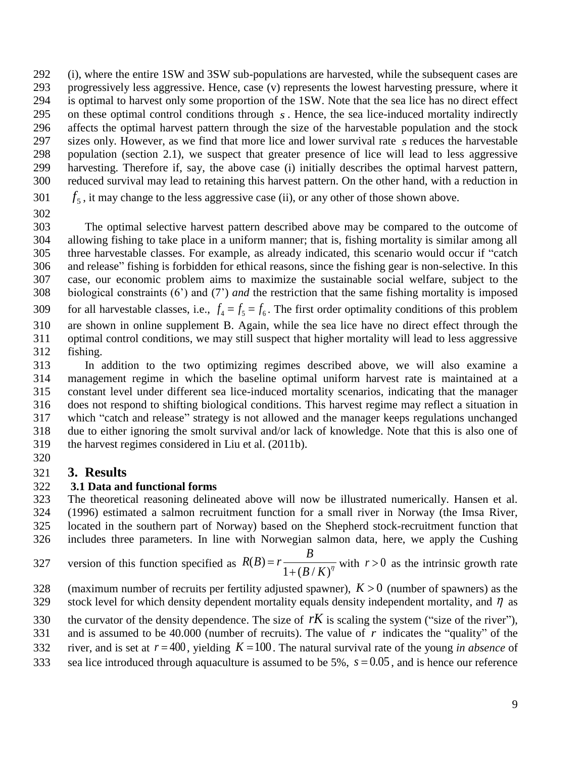(i), where the entire 1SW and 3SW sub-populations are harvested, while the subsequent cases are progressively less aggressive. Hence, case (v) represents the lowest harvesting pressure, where it is optimal to harvest only some proportion of the 1SW. Note that the sea lice has no direct effect on these optimal control conditions through *s* . Hence, the sea lice-induced mortality indirectly affects the optimal harvest pattern through the size of the harvestable population and the stock sizes only. However, as we find that more lice and lower survival rate *s* reduces the harvestable population (section 2.1), we suspect that greater presence of lice will lead to less aggressive harvesting. Therefore if, say, the above case (i) initially describes the optimal harvest pattern, reduced survival may lead to retaining this harvest pattern. On the other hand, with a reduction in  $f_5$ , it may change to the less aggressive case (ii), or any other of those shown above. 

 The optimal selective harvest pattern described above may be compared to the outcome of allowing fishing to take place in a uniform manner; that is, fishing mortality is similar among all three harvestable classes. For example, as already indicated, this scenario would occur if "catch and release" fishing is forbidden for ethical reasons, since the fishing gear is non-selective. In this case, our economic problem aims to maximize the sustainable social welfare, subject to the biological constraints (6') and (7') *and* the restriction that the same fishing mortality is imposed for all harvestable classes, i.e.,  $f_4 = f_5 = f_6$ . The first order optimality conditions of this problem are shown in online supplement B. Again, while the sea lice have no direct effect through the optimal control conditions, we may still suspect that higher mortality will lead to less aggressive

fishing.

 In addition to the two optimizing regimes described above, we will also examine a management regime in which the baseline optimal uniform harvest rate is maintained at a constant level under different sea lice-induced mortality scenarios, indicating that the manager does not respond to shifting biological conditions. This harvest regime may reflect a situation in which "catch and release" strategy is not allowed and the manager keeps regulations unchanged due to either ignoring the smolt survival and/or lack of knowledge. Note that this is also one of the harvest regimes considered in Liu et al. (2011b).

## **3. Results**

## **3.1 Data and functional forms**

 The theoretical reasoning delineated above will now be illustrated numerically. Hansen et al. (1996) estimated a salmon recruitment function for a small river in Norway (the Imsa River, located in the southern part of Norway) based on the Shepherd stock-recruitment function that

includes three parameters. In line with Norwegian salmon data, here, we apply the Cushing

version of this function specified as  $R(B)$  $\overline{1 + (B/K)}$  $R(B) = r \frac{B}{1 - r}$  $= r \frac{B}{1 + (B/K)^{\eta}}$  $\overline{+}$ 327 version of this function specified as  $R(B) = r \frac{1}{1 + (B + K)^n}$  with  $r > 0$  as the intrinsic growth rate

- 328 (maximum number of recruits per fertility adjusted spawner),  $K > 0$  (number of spawners) as the 329 stock level for which density dependent mortality equals density independent mortality, and  $\eta$  as
- 330 the curvator of the density dependence. The size of  $rK$  is scaling the system ("size of the river"),
- 331 and is assumed to be 40.000 (number of recruits). The value of  $r$  indicates the "quality" of the
- 332 river, and is set at  $r = 400$ , yielding  $K = 100$ . The natural survival rate of the young *in absence* of
- 333 sea lice introduced through aquaculture is assumed to be  $5\%$ ,  $s = 0.05$ , and is hence our reference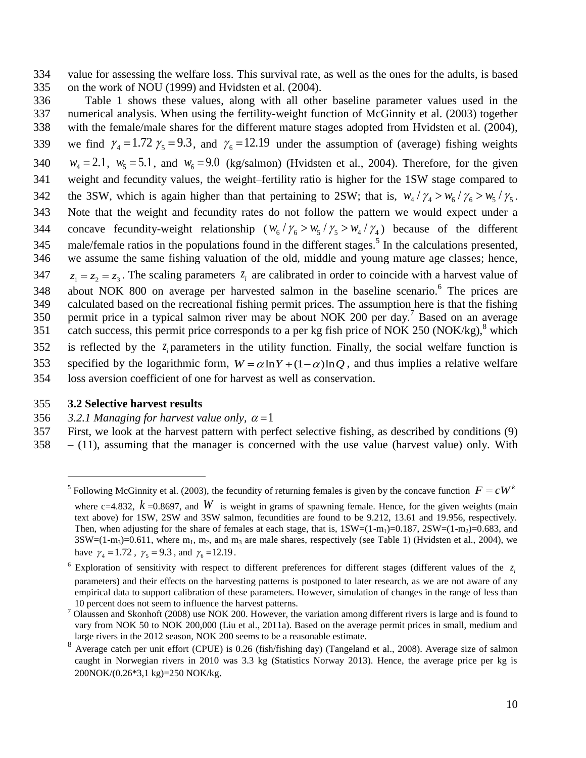334 value for assessing the welfare loss. This survival rate, as well as the ones for the adults, is based 335 on the work of NOU (1999) and Hvidsten et al. (2004).

336 Table 1 shows these values, along with all other baseline parameter values used in the 337 numerical analysis. When using the fertility-weight function of McGinnity et al. (2003) together 338 with the female/male shares for the different mature stages adopted from Hvidsten et al. (2004), we find  $\gamma_4 = 1.72 \gamma_5 = 9.3$ , and  $\gamma_6 = 12.19$  under the assumption of (average) fishing weights 339  $w_4 = 2.1$ ,  $w_5 = 5.1$ , and  $w_6 = 9.0$  (kg/salmon) (Hvidsten et al., 2004). Therefore, for the given 340 341 weight and fecundity values, the weight–fertility ratio is higher for the 1SW stage compared to the 3SW, which is again higher than that pertaining to 2SW; that is,  $w_4 / \gamma_4 > w_6 / \gamma_6 > w_5 / \gamma_5$ . 342 343 Note that the weight and fecundity rates do not follow the pattern we would expect under a concave fecundity-weight relationship  $(w_6 / \gamma_6 > w_5 / \gamma_5 > w_4 / \gamma_4)$  because of the different 344 345 male/female ratios in the populations found in the different stages.<sup>5</sup> In the calculations presented, 346 we assume the same fishing valuation of the old, middle and young mature age classes; hence,  $z_1 = z_2 = z_3$ . The scaling parameters  $z_i$  are calibrated in order to coincide with a harvest value of 347 348 about NOK 800 on average per harvested salmon in the baseline scenario.<sup>6</sup> The prices are 349 calculated based on the recreational fishing permit prices. The assumption here is that the fishing 350 permit price in a typical salmon river may be about NOK 200 per day.<sup>7</sup> Based on an average 351 catch success, this permit price corresponds to a per kg fish price of NOK 250 (NOK/kg),  $\frac{8}{3}$  which is reflected by the  $z_i$  parameters in the utility function. Finally, the social welfare function is 352 353 specified by the logarithmic form,  $W = \alpha \ln Y + (1 - \alpha) \ln Q$ , and thus implies a relative welfare 354 loss aversion coefficient of one for harvest as well as conservation.

#### 355 **3.2 Selective harvest results**

 $\overline{a}$ 

- 356 3.2.1 Managing for harvest value only,  $\alpha = 1$
- 357 First, we look at the harvest pattern with perfect selective fishing, as described by conditions (9)
- $358 (11)$ , assuming that the manager is concerned with the use value (harvest value) only. With

<sup>&</sup>lt;sup>5</sup> Following McGinnity et al. (2003), the fecundity of returning females is given by the concave function  $F = cW^k$ 

where  $c=4.832$ ,  $k=0.8697$ , and  $W$  is weight in grams of spawning female. Hence, for the given weights (main text above) for 1SW, 2SW and 3SW salmon, fecundities are found to be 9.212, 13.61 and 19.956, respectively. Then, when adjusting for the share of females at each stage, that is,  $1SW=(1-m_1)=0.187$ ,  $2SW=(1-m_2)=0.683$ , and  $3SW=(1-m_3)=0.611$ , where  $m_1$ ,  $m_2$ , and  $m_3$  are male shares, respectively (see Table 1) (Hvidsten et al., 2004), we have  $\gamma_4 = 1.72$ ,  $\gamma_5 = 9.3$ , and  $\gamma_6 = 12.19$ .

<sup>&</sup>lt;sup>6</sup> Exploration of sensitivity with respect to different preferences for different stages (different values of the  $z_i$ parameters) and their effects on the harvesting patterns is postponed to later research, as we are not aware of any empirical data to support calibration of these parameters. However, simulation of changes in the range of less than 10 percent does not seem to influence the harvest patterns.

<sup>7</sup> Olaussen and Skonhoft (2008) use NOK 200. However, the variation among different rivers is large and is found to vary from NOK 50 to NOK 200,000 (Liu et al., 2011a). Based on the average permit prices in small, medium and large rivers in the 2012 season, NOK 200 seems to be a reasonable estimate.

<sup>8</sup> Average catch per unit effort (CPUE) is 0.26 (fish/fishing day) (Tangeland et al., 2008). Average size of salmon caught in Norwegian rivers in 2010 was 3.3 kg (Statistics Norway 2013). Hence, the average price per kg is 200NOK/(0.26\*3,1 kg)=250 NOK/kg.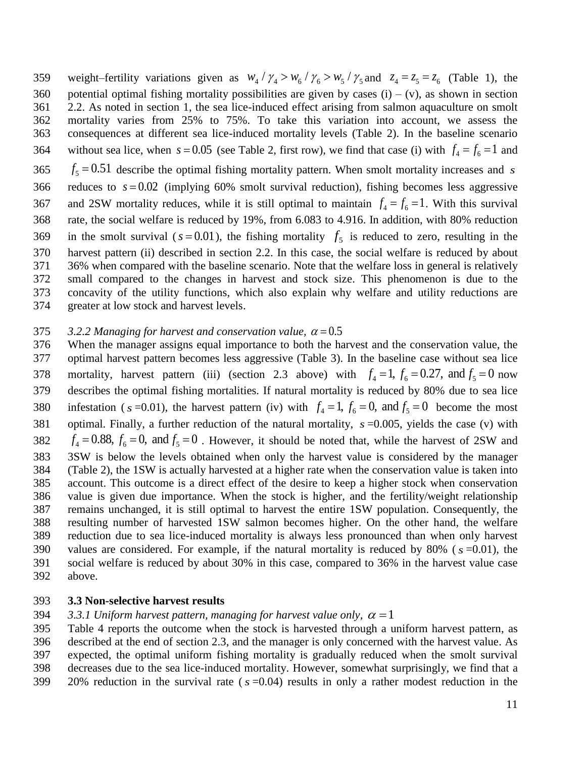weight–fertility variations given as  $w_4 / \gamma_4 > w_6 / \gamma_6 > w_5 / \gamma_5$  and  $z_4 = z_5 = z_6$  (Table 1), the 360 potential optimal fishing mortality possibilities are given by cases  $(i) - (v)$ , as shown in section 2.2. As noted in section 1, the sea lice-induced effect arising from salmon aquaculture on smolt mortality varies from 25% to 75%. To take this variation into account, we assess the consequences at different sea lice-induced mortality levels (Table 2). In the baseline scenario without sea lice, when  $s = 0.05$  (see Table 2, first row), we find that case (i) with  $f_4 = f_6 = 1$  and  $f_5 = 0.51$  describe the optimal fishing mortality pattern. When smolt mortality increases and *s*  366 reduces to  $s = 0.02$  (implying 60% smolt survival reduction), fishing becomes less aggressive and 2SW mortality reduces, while it is still optimal to maintain  $f_4 = f_6 = 1$ . With this survival rate, the social welfare is reduced by 19%, from 6.083 to 4.916. In addition, with 80% reduction in the smolt survival ( $s = 0.01$ ), the fishing mortality  $f_5$  is reduced to zero, resulting in the harvest pattern (ii) described in section 2.2. In this case, the social welfare is reduced by about 36% when compared with the baseline scenario. Note that the welfare loss in general is relatively small compared to the changes in harvest and stock size. This phenomenon is due to the concavity of the utility functions, which also explain why welfare and utility reductions are greater at low stock and harvest levels.

#### 375  $3.2.2$  Managing for harvest and conservation value,  $\alpha = 0.5$

 When the manager assigns equal importance to both the harvest and the conservation value, the optimal harvest pattern becomes less aggressive (Table 3). In the baseline case without sea lice optimal halvest pattern (iii) (section 2.3 above) with  $f_4 = 1$ ,  $f_6 = 0.27$ , and  $f_5 = 0$  now mortality, harvest pattern (iii) (section 2.3 above) with  $f_4 = 1$ ,  $f_6 = 0.27$ , and  $f_5 = 0$  now describes the optimal fishing mortalities. If natural mortality is reduced by 80% due to sea lice infestation ( $s = 0.01$ ), the harvest pattern (iv) with  $f_4 = 1$ ,  $f_6 = 0$ , and  $f_5 = 0$  become the most 381 optimal. Finally, a further reduction of the natural mortality,  $s = 0.005$ , yields the case (v) with  $f_4 = 0.88$ ,  $f_6 = 0$ , and  $f_5 = 0$ . However, it should be noted that, while the harvest of 2SW and  $f_7 = 0.88$ ,  $f_8 = 0$ , and  $f_9 = 0$ . However, it should be noted that, while the harvest of 2SW and 3SW is below the levels obtained when only the harvest value is considered by the manager (Table 2), the 1SW is actually harvested at a higher rate when the conservation value is taken into account. This outcome is a direct effect of the desire to keep a higher stock when conservation value is given due importance. When the stock is higher, and the fertility/weight relationship remains unchanged, it is still optimal to harvest the entire 1SW population. Consequently, the resulting number of harvested 1SW salmon becomes higher. On the other hand, the welfare reduction due to sea lice-induced mortality is always less pronounced than when only harvest 390 values are considered. For example, if the natural mortality is reduced by 80% ( $s = 0.01$ ), the social welfare is reduced by about 30% in this case, compared to 36% in the harvest value case above.

## **3.3 Non-selective harvest results**

## 394 3.3.1 Uniform harvest pattern, managing for harvest value only,  $\alpha = 1$

 Table 4 reports the outcome when the stock is harvested through a uniform harvest pattern, as described at the end of section 2.3, and the manager is only concerned with the harvest value. As expected, the optimal uniform fishing mortality is gradually reduced when the smolt survival decreases due to the sea lice-induced mortality. However, somewhat surprisingly, we find that a 399 20% reduction in the survival rate  $(s=0.04)$  results in only a rather modest reduction in the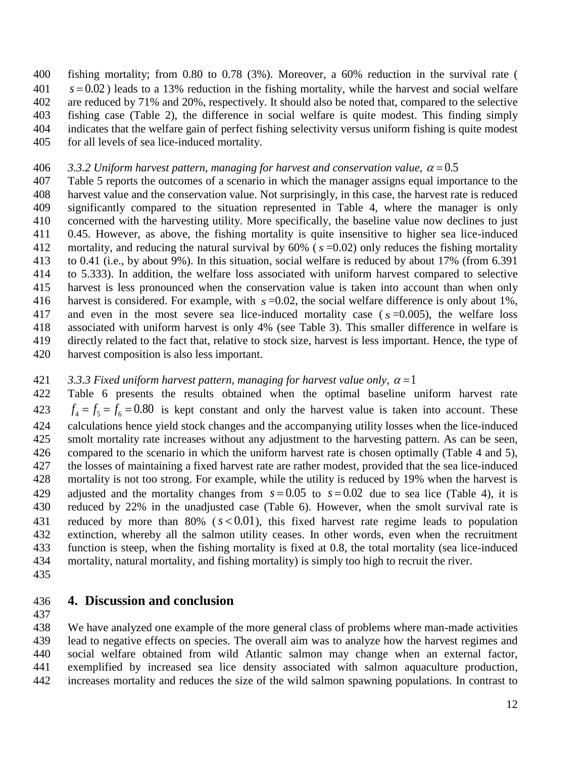fishing mortality; from 0.80 to 0.78 (3%). Moreover, a 60% reduction in the survival rate (  $s = 0.02$ ) leads to a 13% reduction in the fishing mortality, while the harvest and social welfare are reduced by 71% and 20%, respectively. It should also be noted that, compared to the selective fishing case (Table 2), the difference in social welfare is quite modest. This finding simply indicates that the welfare gain of perfect fishing selectivity versus uniform fishing is quite modest for all levels of sea lice-induced mortality.

## 3.3.2 Uniform harvest pattern, managing for harvest and conservation value,  $\alpha$  = 0.5

 Table 5 reports the outcomes of a scenario in which the manager assigns equal importance to the harvest value and the conservation value. Not surprisingly, in this case, the harvest rate is reduced significantly compared to the situation represented in Table 4, where the manager is only concerned with the harvesting utility. More specifically, the baseline value now declines to just 0.45. However, as above, the fishing mortality is quite insensitive to higher sea lice-induced 412 mortality, and reducing the natural survival by  $60\%$  ( $s = 0.02$ ) only reduces the fishing mortality to 0.41 (i.e., by about 9%). In this situation, social welfare is reduced by about 17% (from 6.391 to 5.333). In addition, the welfare loss associated with uniform harvest compared to selective harvest is less pronounced when the conservation value is taken into account than when only 416 harvest is considered. For example, with  $s = 0.02$ , the social welfare difference is only about 1%, 417 and even in the most severe sea lice-induced mortality case  $(s=0.005)$ , the welfare loss associated with uniform harvest is only 4% (see Table 3). This smaller difference in welfare is directly related to the fact that, relative to stock size, harvest is less important. Hence, the type of harvest composition is also less important.

## 421 3.3.3 Fixed uniform harvest pattern, managing for harvest value only,  $\alpha = 1$

 Table 6 presents the results obtained when the optimal baseline uniform harvest rate  $f_4 = f_5 = f_6 = 0.80$  is kept constant and only the harvest value is taken into account. These calculations hence yield stock changes and the accompanying utility losses when the lice-induced smolt mortality rate increases without any adjustment to the harvesting pattern. As can be seen, compared to the scenario in which the uniform harvest rate is chosen optimally (Table 4 and 5), the losses of maintaining a fixed harvest rate are rather modest, provided that the sea lice-induced mortality is not too strong. For example, while the utility is reduced by 19% when the harvest is 429 adjusted and the mortality changes from  $s = 0.05$  to  $s = 0.02$  due to sea lice (Table 4), it is reduced by 22% in the unadjusted case (Table 6). However, when the smolt survival rate is 431 reduced by more than  $80\%$  ( $s < 0.01$ ), this fixed harvest rate regime leads to population extinction, whereby all the salmon utility ceases. In other words, even when the recruitment function is steep, when the fishing mortality is fixed at 0.8, the total mortality (sea lice-induced mortality, natural mortality, and fishing mortality) is simply too high to recruit the river.

## **4. Discussion and conclusion**

 We have analyzed one example of the more general class of problems where man-made activities lead to negative effects on species. The overall aim was to analyze how the harvest regimes and social welfare obtained from wild Atlantic salmon may change when an external factor, exemplified by increased sea lice density associated with salmon aquaculture production, increases mortality and reduces the size of the wild salmon spawning populations. In contrast to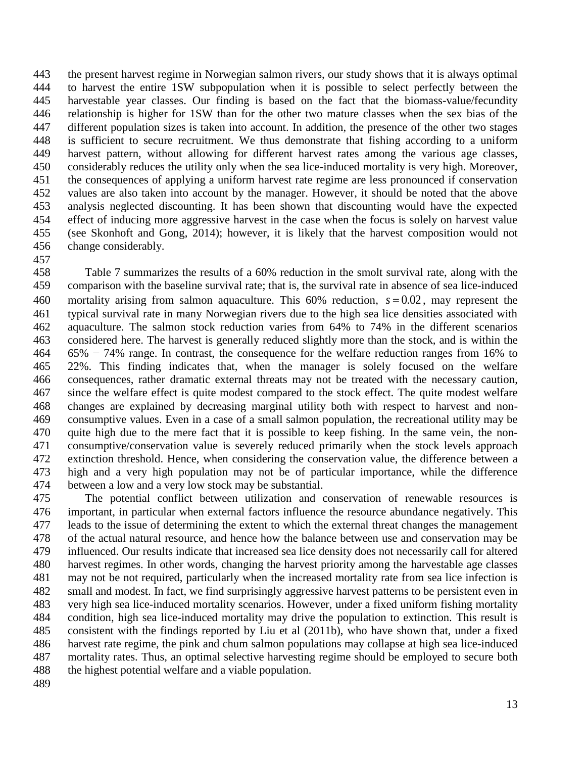the present harvest regime in Norwegian salmon rivers, our study shows that it is always optimal to harvest the entire 1SW subpopulation when it is possible to select perfectly between the harvestable year classes. Our finding is based on the fact that the biomass-value/fecundity relationship is higher for 1SW than for the other two mature classes when the sex bias of the different population sizes is taken into account. In addition, the presence of the other two stages is sufficient to secure recruitment. We thus demonstrate that fishing according to a uniform harvest pattern, without allowing for different harvest rates among the various age classes, considerably reduces the utility only when the sea lice-induced mortality is very high. Moreover, the consequences of applying a uniform harvest rate regime are less pronounced if conservation values are also taken into account by the manager. However, it should be noted that the above analysis neglected discounting. It has been shown that discounting would have the expected effect of inducing more aggressive harvest in the case when the focus is solely on harvest value (see Skonhoft and Gong, 2014); however, it is likely that the harvest composition would not change considerably.

 Table 7 summarizes the results of a 60% reduction in the smolt survival rate, along with the comparison with the baseline survival rate; that is, the survival rate in absence of sea lice-induced 460 mortality arising from salmon aquaculture. This  $60\%$  reduction,  $s = 0.02$ , may represent the typical survival rate in many Norwegian rivers due to the high sea lice densities associated with aquaculture. The salmon stock reduction varies from 64% to 74% in the different scenarios considered here. The harvest is generally reduced slightly more than the stock, and is within the 65% − 74% range. In contrast, the consequence for the welfare reduction ranges from 16% to 22%. This finding indicates that, when the manager is solely focused on the welfare consequences, rather dramatic external threats may not be treated with the necessary caution, since the welfare effect is quite modest compared to the stock effect. The quite modest welfare changes are explained by decreasing marginal utility both with respect to harvest and non- consumptive values. Even in a case of a small salmon population, the recreational utility may be quite high due to the mere fact that it is possible to keep fishing. In the same vein, the non- consumptive/conservation value is severely reduced primarily when the stock levels approach extinction threshold. Hence, when considering the conservation value, the difference between a high and a very high population may not be of particular importance, while the difference between a low and a very low stock may be substantial.

 The potential conflict between utilization and conservation of renewable resources is important, in particular when external factors influence the resource abundance negatively. This leads to the issue of determining the extent to which the external threat changes the management of the actual natural resource, and hence how the balance between use and conservation may be influenced. Our results indicate that increased sea lice density does not necessarily call for altered harvest regimes. In other words, changing the harvest priority among the harvestable age classes may not be not required, particularly when the increased mortality rate from sea lice infection is small and modest. In fact, we find surprisingly aggressive harvest patterns to be persistent even in very high sea lice-induced mortality scenarios. However, under a fixed uniform fishing mortality condition, high sea lice-induced mortality may drive the population to extinction. This result is consistent with the findings reported by Liu et al (2011b), who have shown that, under a fixed harvest rate regime, the pink and chum salmon populations may collapse at high sea lice-induced mortality rates. Thus, an optimal selective harvesting regime should be employed to secure both the highest potential welfare and a viable population.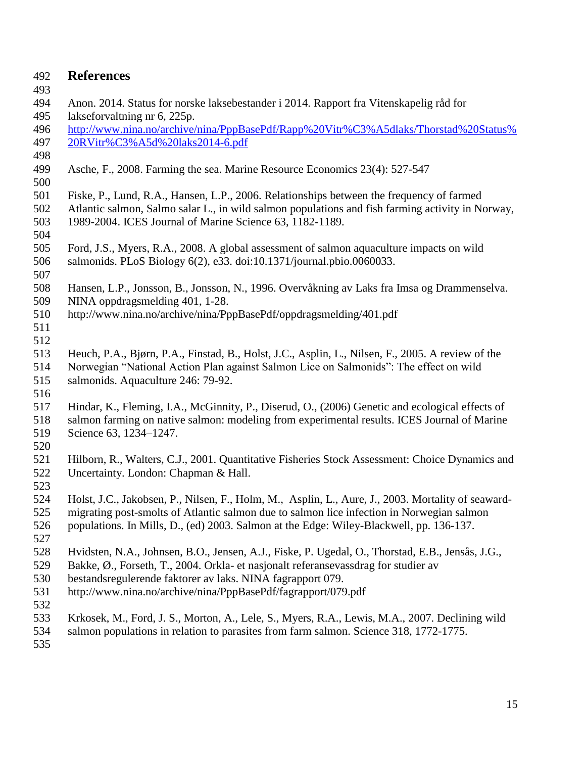## **References** Anon. 2014. Status for norske laksebestander i 2014. Rapport fra Vitenskapelig råd for lakseforvaltning nr 6, 225p. [http://www.nina.no/archive/nina/PppBasePdf/Rapp%20Vitr%C3%A5dlaks/Thorstad%20Status%](http://www.nina.no/archive/nina/PppBasePdf/Rapp%20Vitr%C3%A5dlaks/Thorstad%20Status%20RVitr%C3%A5d%20laks2014-6.pdf) [20RVitr%C3%A5d%20laks2014-6.pdf](http://www.nina.no/archive/nina/PppBasePdf/Rapp%20Vitr%C3%A5dlaks/Thorstad%20Status%20RVitr%C3%A5d%20laks2014-6.pdf) Asche, F., 2008. Farming the sea. Marine Resource Economics 23(4): 527-547 Fiske, P., Lund, R.A., Hansen, L.P., 2006. Relationships between the frequency of farmed Atlantic salmon, Salmo salar L., in wild salmon populations and fish farming activity in Norway, 1989-2004. ICES Journal of Marine Science 63, 1182-1189. Ford, J.S., Myers, R.A., 2008. A global assessment of salmon aquaculture impacts on wild salmonids. PLoS Biology 6(2), e33. doi:10.1371/journal.pbio.0060033. Hansen, L.P., Jonsson, B., Jonsson, N., 1996. Overvåkning av Laks fra Imsa og Drammenselva. NINA oppdragsmelding 401, 1-28. http://www.nina.no/archive/nina/PppBasePdf/oppdragsmelding/401.pdf

512<br>513 Heuch, P.A., Bjørn, P.A., Finstad, B., Holst, J.C., Asplin, L., Nilsen, F., 2005. A review of the Norwegian "National Action Plan against Salmon Lice on Salmonids": The effect on wild salmonids. Aquaculture 246: 79-92.

 Hindar, K., Fleming, I.A., McGinnity, P., Diserud, O., (2006) Genetic and ecological effects of salmon farming on native salmon: modeling from experimental results. ICES Journal of Marine

- Science 63, 1234–1247.
- 

 Hilborn, R., Walters, C.J., 2001. Quantitative Fisheries Stock Assessment: Choice Dynamics and Uncertainty. London: Chapman & Hall. 

- [Holst, J.C.](http://www-md1.csa.com/ids70/p_search_form.php?field=au&query=holst+jc&log=literal&resolve_au&SID=hm98lu1va1c9ubc09kv0mkthr0), Jakobsen, P., Nilsen, F., Holm[,](http://www-md1.csa.com/ids70/p_search_form.php?field=au&query=nilsen+f&log=literal&resolve_au&SID=hm98lu1va1c9ubc09kv0mkthr0) M., [A](http://www-md1.csa.com/ids70/p_search_form.php?field=au&query=holm+m&log=literal&resolve_au&SID=hm98lu1va1c9ubc09kv0mkthr0)splin, L., [Aure](http://www-md1.csa.com/ids70/p_search_form.php?field=au&query=aure+j&log=literal&resolve_au&SID=hm98lu1va1c9ubc09kv0mkthr0)[, J.,](http://www-md1.csa.com/ids70/p_search_form.php?field=au&query=asplin+l&log=literal&resolve_au&SID=hm98lu1va1c9ubc09kv0mkthr0) 2003. Mortality of seaward-
- migrating post-smolts of Atlantic salmon due to salmon lice infection in Norwegian salmon
- populations. In Mills, D., (ed) 2003. Salmon at the Edge: Wiley-Blackwell, pp. 136-137.
- 
- Hvidsten, N.A., Johnsen, B.O., Jensen, A.J., Fiske, P. Ugedal, O., Thorstad, E.B., Jensås, J.G.,
- Bakke, Ø., Forseth, T., 2004. Orkla- et nasjonalt referansevassdrag for studier av
- bestandsregulerende faktorer av laks. NINA fagrapport 079.
- http://www.nina.no/archive/nina/PppBasePdf/fagrapport/079.pdf
- 
- Krkosek, M., Ford, J. S., Morton, A., Lele, S., Myers, R.A., Lewis, M.A., 2007. Declining wild
- salmon populations in relation to parasites from farm salmon. Science 318, 1772-1775.
-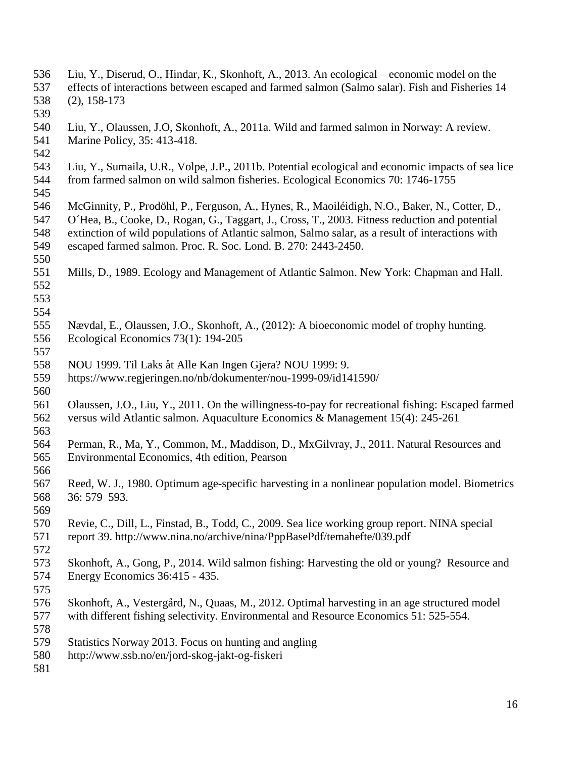| 536<br>537        | Liu, Y., Diserud, O., Hindar, K., Skonhoft, A., 2013. An ecological – economic model on the<br>effects of interactions between escaped and farmed salmon (Salmo salar). Fish and Fisheries 14    |
|-------------------|--------------------------------------------------------------------------------------------------------------------------------------------------------------------------------------------------|
| 538<br>539        | $(2), 158-173$                                                                                                                                                                                   |
| 540<br>541        | Liu, Y., Olaussen, J.O, Skonhoft, A., 2011a. Wild and farmed salmon in Norway: A review.<br>Marine Policy, 35: 413-418.                                                                          |
| 542               |                                                                                                                                                                                                  |
| 543<br>544        | Liu, Y., Sumaila, U.R., Volpe, J.P., 2011b. Potential ecological and economic impacts of sea lice<br>from farmed salmon on wild salmon fisheries. Ecological Economics 70: 1746-1755             |
| 545               |                                                                                                                                                                                                  |
| 546<br>547        | McGinnity, P., Prodöhl, P., Ferguson, A., Hynes, R., Maoiléidigh, N.O., Baker, N., Cotter, D.,<br>O'Hea, B., Cooke, D., Rogan, G., Taggart, J., Cross, T., 2003. Fitness reduction and potential |
| 548<br>549        | extinction of wild populations of Atlantic salmon, Salmo salar, as a result of interactions with<br>escaped farmed salmon. Proc. R. Soc. Lond. B. 270: 2443-2450.                                |
| 550<br>551<br>552 | Mills, D., 1989. Ecology and Management of Atlantic Salmon. New York: Chapman and Hall.                                                                                                          |
| 553<br>554        |                                                                                                                                                                                                  |
| 555               | Nævdal, E., Olaussen, J.O., Skonhoft, A., (2012): A bioeconomic model of trophy hunting.                                                                                                         |
| 556               | Ecological Economics 73(1): 194-205                                                                                                                                                              |
| 557               |                                                                                                                                                                                                  |
| 558               | NOU 1999. Til Laks åt Alle Kan Ingen Gjera? NOU 1999: 9.                                                                                                                                         |
| 559               | https://www.regjeringen.no/nb/dokumenter/nou-1999-09/id141590/                                                                                                                                   |
| 560               |                                                                                                                                                                                                  |
| 561               | Olaussen, J.O., Liu, Y., 2011. On the willingness-to-pay for recreational fishing: Escaped farmed                                                                                                |
| 562               | versus wild Atlantic salmon. Aquaculture Economics & Management 15(4): 245-261                                                                                                                   |
| 563               |                                                                                                                                                                                                  |
| 564               | Perman, R., Ma, Y., Common, M., Maddison, D., MxGilvray, J., 2011. Natural Resources and                                                                                                         |
| 565               | Environmental Economics, 4th edition, Pearson                                                                                                                                                    |
| 566               |                                                                                                                                                                                                  |
| 567               | Reed, W. J., 1980. Optimum age-specific harvesting in a nonlinear population model. Biometrics                                                                                                   |
| 568               | 36: 579-593.                                                                                                                                                                                     |
| 569               |                                                                                                                                                                                                  |
| 570               | Revie, C., Dill, L., Finstad, B., Todd, C., 2009. Sea lice working group report. NINA special                                                                                                    |
| 571               | report 39. http://www.nina.no/archive/nina/PppBasePdf/temahefte/039.pdf                                                                                                                          |
| 572               |                                                                                                                                                                                                  |
| 573               | Skonhoft, A., Gong, P., 2014. Wild salmon fishing: Harvesting the old or young? Resource and                                                                                                     |
| 574               | Energy Economics 36:415 - 435.                                                                                                                                                                   |
| 575               |                                                                                                                                                                                                  |
| 576               | Skonhoft, A., Vestergård, N., Quaas, M., 2012. Optimal harvesting in an age structured model                                                                                                     |
| 577               | with different fishing selectivity. Environmental and Resource Economics 51: 525-554.                                                                                                            |
| 578               |                                                                                                                                                                                                  |
| 579               | Statistics Norway 2013. Focus on hunting and angling                                                                                                                                             |
| 580               | http://www.ssb.no/en/jord-skog-jakt-og-fiskeri                                                                                                                                                   |
| 581               |                                                                                                                                                                                                  |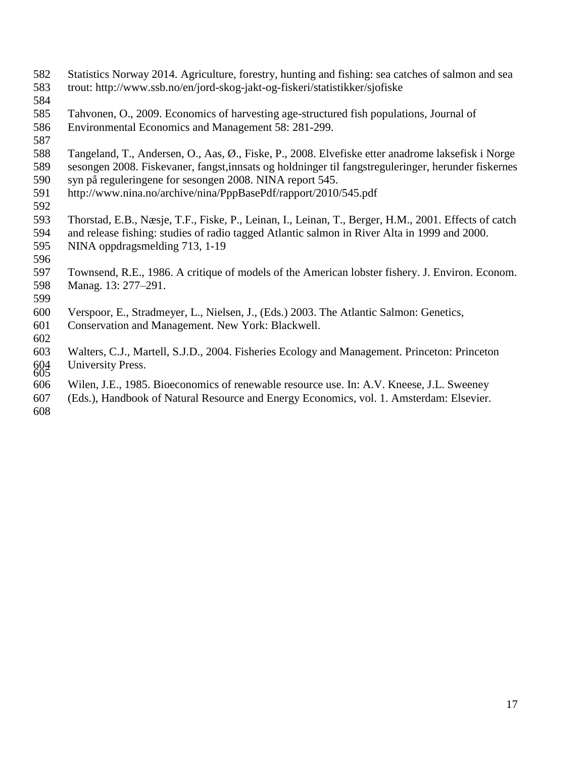- Statistics Norway 2014. Agriculture, forestry, hunting and fishing: sea catches of salmon and sea
- trout: http://www.ssb.no/en/jord-skog-jakt-og-fiskeri/statistikker/sjofiske
- 
- Tahvonen, O., 2009. Economics of harvesting age-structured fish populations, Journal of
- Environmental Economics and Management 58: 281-299.
- Tangeland, T., Andersen, O., Aas, Ø., Fiske, P., 2008. Elvefiske etter anadrome laksefisk i Norge
- sesongen 2008. Fiskevaner, fangst,innsats og holdninger til fangstreguleringer, herunder fiskernes
- syn på reguleringene for sesongen 2008. NINA report 545.
- http://www.nina.no/archive/nina/PppBasePdf/rapport/2010/545.pdf
- 
- Thorstad, E.B., Næsje, T.F., Fiske, P., Leinan, I., Leinan, T., Berger, H.M., 2001. Effects of catch
- and release fishing: studies of radio tagged Atlantic salmon in River Alta in 1999 and 2000. NINA oppdragsmelding 713, 1-19
- 
- Townsend, R.E., 1986. A critique of models of the American lobster fishery. J. Environ. Econom. Manag. 13: 277–291.
- 
- Verspoor, E., Stradmeyer, L., Nielsen, J., (Eds.) 2003. The Atlantic Salmon: Genetics,
- Conservation and Management. New York: Blackwell.
- 

 Walters, C.J., Martell, S.J.D., 2004. Fisheries Ecology and Management. Princeton: Princeton University Press.

- <br> $605$ <br> $606$ Wilen, J.E., 1985. Bioeconomics of renewable resource use. In: A.V. Kneese, J.L. Sweeney
- (Eds.), Handbook of Natural Resource and Energy Economics, vol. 1. Amsterdam: Elsevier.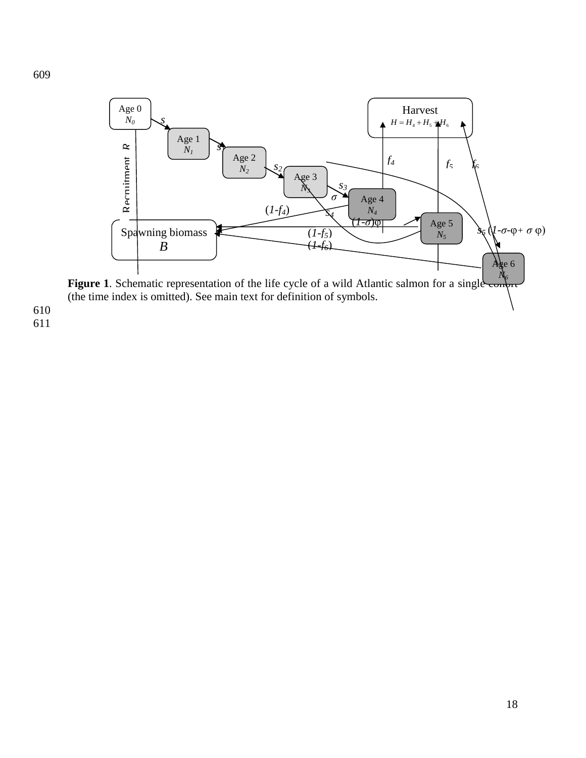

(the time index is omitted). See main text for definition of symbols.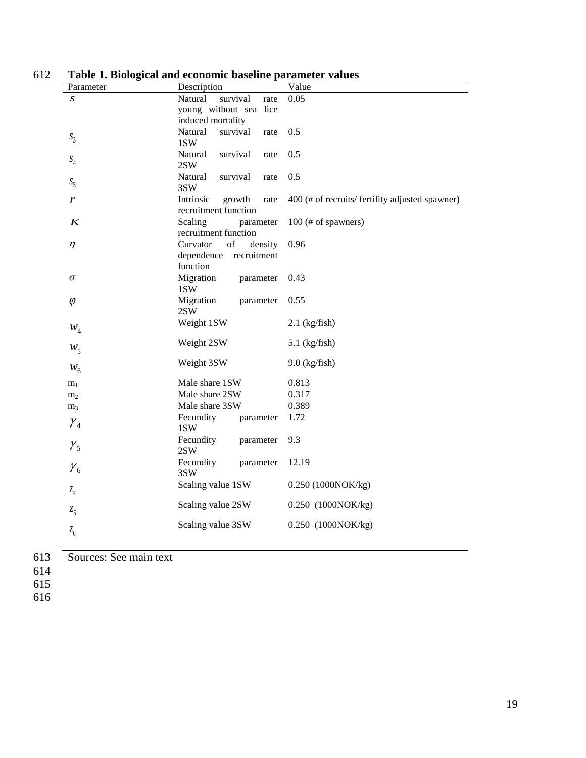| Parameter          | Description                 | Value                                           |
|--------------------|-----------------------------|-------------------------------------------------|
| $\boldsymbol{S}$   | Natural<br>survival<br>rate | 0.05                                            |
|                    | young without sea lice      |                                                 |
|                    | induced mortality           |                                                 |
|                    | Natural<br>survival<br>rate | 0.5                                             |
| $S_3$              | 1SW                         |                                                 |
|                    | Natural<br>survival<br>rate | 0.5                                             |
| $\boldsymbol{S}_4$ | 2SW                         |                                                 |
|                    | Natural<br>survival<br>rate | 0.5                                             |
| $S_5$              | 3SW                         |                                                 |
| r                  | Intrinsic<br>growth<br>rate | 400 (# of recruits/ fertility adjusted spawner) |
|                    | recruitment function        |                                                 |
| $\boldsymbol{K}$   | Scaling<br>parameter        | 100 (# of spawners)                             |
|                    | recruitment function        |                                                 |
| $\eta$             | of<br>Curvator<br>density   | 0.96                                            |
|                    | recruitment<br>dependence   |                                                 |
|                    | function                    |                                                 |
| $\sigma$           | Migration<br>parameter      | 0.43                                            |
|                    | 1SW                         |                                                 |
| $\varphi$          | Migration<br>parameter      | 0.55                                            |
|                    | 2SW                         |                                                 |
|                    | Weight 1SW                  | $2.1$ (kg/fish)                                 |
| $W_4$              |                             |                                                 |
| $W_5$              | Weight 2SW                  | $5.1$ (kg/fish)                                 |
|                    |                             |                                                 |
| $W_6$              | Weight 3SW                  | $9.0$ (kg/fish)                                 |
| m <sub>1</sub>     | Male share 1SW              | 0.813                                           |
| m <sub>2</sub>     | Male share 2SW              | 0.317                                           |
|                    | Male share 3SW              | 0.389                                           |
| m <sub>3</sub>     | Fecundity                   | 1.72                                            |
| $\gamma_4$         | parameter<br>1SW            |                                                 |
|                    | Fecundity<br>parameter      | 9.3                                             |
| $\gamma_{5}$       | 2SW                         |                                                 |
|                    | Fecundity<br>parameter      | 12.19                                           |
| $\gamma_{6}$       | 3SW                         |                                                 |
|                    | Scaling value 1SW           | 0.250 (1000NOK/kg)                              |
| $z_4$              |                             |                                                 |
|                    | Scaling value 2SW           | 0.250 (1000NOK/kg)                              |
| $z_{5}$            |                             |                                                 |
|                    | Scaling value 3SW           | 0.250 (1000NOK/kg)                              |
| $\rm Z_{6}$        |                             |                                                 |

612 **Table 1. Biological and economic baseline parameter values**

613 Sources: See main text

614

615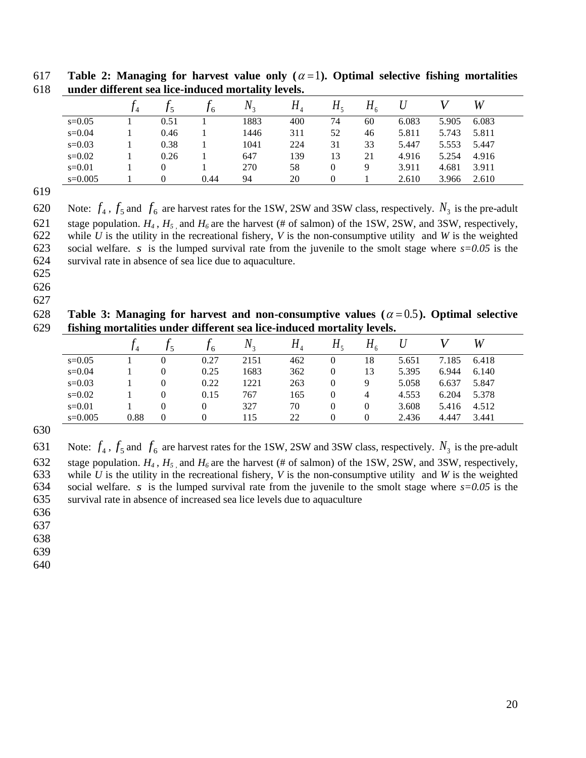|           |          |      |      | $H_{A}$ |                | $H_{\kappa}$ |       |       | W     |
|-----------|----------|------|------|---------|----------------|--------------|-------|-------|-------|
| $s=0.05$  | 0.51     |      | 1883 | 400     | 74             | 60           | 6.083 | 5.905 | 6.083 |
| $s=0.04$  | 0.46     |      | 1446 | 311     | 52             | 46           | 5.811 | 5.743 | 5.811 |
| $s=0.03$  | 0.38     |      | 1041 | 224     | 31             | 33           | 5.447 | 5.553 | 5.447 |
| $s=0.02$  | 0.26     |      | 647  | 139     | 13             | 21           | 4.916 | 5.254 | 4.916 |
| $s=0.01$  | $\Omega$ |      | 270  | 58      | $\overline{0}$ | 9            | 3.911 | 4.681 | 3.911 |
| $s=0.005$ |          | 0.44 | 94   | 20      | $\theta$       |              | 2.610 | 3.966 | 2.610 |

617 Table 2: Managing for harvest value only  $(\alpha = 1)$ . Optimal selective fishing mortalities 618 **under different sea lice-induced mortality levels.**

620 Note:  $f_4$ ,  $f_5$  and  $f_6$  are harvest rates for the 1SW, 2SW and 3SW class, respectively.  $N_3$  is the pre-adult 621 stage population.  $H_4$ ,  $H_5$ , and  $H_6$  are the harvest (# of salmon) of the 1SW, 2SW, and 3SW, respectively, 622 while *U* is the utility in the recreational fishery, *V* is the non-consumptive utility and *W* is the weighted 623 social welfare. *s* is the lumped survival rate from the juvenile to the smolt stage where  $s=0.05$  is the 624 survival rate in absence of sea lice due to aquaculture.

- 625
- 626
- 627

628 Table 3: Managing for harvest and non-consumptive values  $(\alpha = 0.5)$ . Optimal selective 629 **fishing mortalities under different sea lice-induced mortality levels.**

|           |      |          | ' 6  |      | $H_{\scriptscriptstyle A}$ |                | $H_{\epsilon}$ |       |       | W     |
|-----------|------|----------|------|------|----------------------------|----------------|----------------|-------|-------|-------|
| $s=0.05$  |      |          | 0.27 | 2151 | 462                        | 0              | 18             | 5.651 | 7.185 | 6.418 |
| $s=0.04$  |      | 0        | 0.25 | 1683 | 362                        | $\overline{0}$ | 13             | 5.395 | 6.944 | 6.140 |
| $s=0.03$  |      | 0        | 0.22 | 1221 | 263                        | $\overline{0}$ | 9              | 5.058 | 6.637 | 5.847 |
| $s=0.02$  |      | 0        | 0.15 | 767  | 165                        | $\overline{0}$ | 4              | 4.553 | 6.204 | 5.378 |
| $s=0.01$  |      | 0        | 0    | 327  | 70                         | $\overline{0}$ | $\theta$       | 3.608 | 5.416 | 4.512 |
| $s=0.005$ | 0.88 | $\theta$ |      | 115  | 22                         | $\theta$       | $\Omega$       | 2.436 | 4.447 | 3.441 |

630

631 Note:  $f_4$ ,  $f_5$  and  $f_6$  are harvest rates for the 1SW, 2SW and 3SW class, respectively.  $N_3$  is the pre-adult 632 stage population.  $H_4$ ,  $H_5$ , and  $H_6$  are the harvest (# of salmon) of the 1SW, 2SW, and 3SW, respectively, while *U* is the utility in the recreational fishery, *V* is the non-consumptive utility and *W* is the w while  $U$  is the utility in the recreational fishery,  $V$  is the non-consumptive utility and  $W$  is the weighted 634 social welfare. *s* is the lumped survival rate from the juvenile to the smolt stage where  $s=0.05$  is the 635 survival rate in absence of increased sea lice levels due to aquaculture

636

637

638

639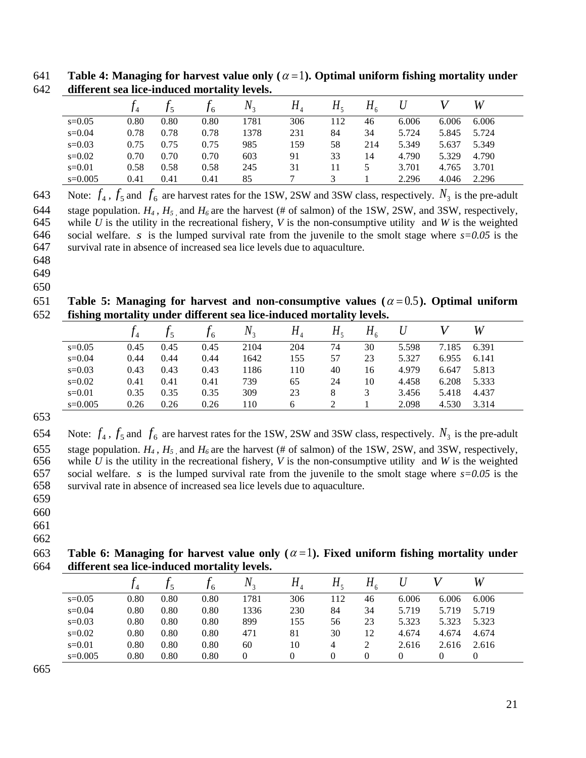| 641 | Table 4: Managing for harvest value only ( $\alpha$ =1). Optimal uniform fishing mortality under |
|-----|--------------------------------------------------------------------------------------------------|
| 642 | different sea lice-induced mortality levels.                                                     |

|           |      |      | J 6  | $N_{\rm z}$ | $H_{\scriptscriptstyle{A}}$ |     | $H_{\kappa}$ |       |       | W     |  |
|-----------|------|------|------|-------------|-----------------------------|-----|--------------|-------|-------|-------|--|
| $s=0.05$  | 0.80 | 0.80 | 0.80 | 1781        | 306                         | 112 | 46           | 6.006 | 6.006 | 6.006 |  |
| $s=0.04$  | 0.78 | 0.78 | 0.78 | 1378        | 231                         | 84  | 34           | 5.724 | 5.845 | 5.724 |  |
| $s=0.03$  | 0.75 | 0.75 | 0.75 | 985         | 159                         | 58  | 214          | 5.349 | 5.637 | 5.349 |  |
| $s=0.02$  | 0.70 | 0.70 | 0.70 | 603         | 91                          | 33  | 14           | 4.790 | 5.329 | 4.790 |  |
| $s=0.01$  | 0.58 | 0.58 | 0.58 | 245         | 31                          | 11  | 5            | 3.701 | 4.765 | 3.701 |  |
| $s=0.005$ | 0.41 | 0.41 | 0.41 | 85          |                             |     |              | 2.296 | 4.046 | 2.296 |  |

643 Note:  $f_4$ ,  $f_5$  and  $f_6$  are harvest rates for the 1SW, 2SW and 3SW class, respectively.  $N_3$  is the pre-adult 644 stage population.  $H_4$ ,  $H_5$ , and  $H_6$  are the harvest (# of salmon) of the 1SW, 2SW, and 3SW, respectively, while *U* is the utility in the recreational fishery, *V* is the non-consumptive utility and *W* is the w while  $U$  is the utility in the recreational fishery,  $V$  is the non-consumptive utility and  $W$  is the weighted 646 social welfare. *s* is the lumped survival rate from the juvenile to the smolt stage where  $s=0.05$  is the 647 survival rate in absence of increased sea lice levels due to aquaculture.

648

649

650

651 Table 5: Managing for harvest and non-consumptive values  $(a=0.5)$ . Optimal uniform 652 **fishing mortality under different sea lice-induced mortality levels.**

|           |      |      |      |      | $H_{\rm A}$ | H <sub>s</sub> | $H_{\epsilon}$ |       |       | W     |
|-----------|------|------|------|------|-------------|----------------|----------------|-------|-------|-------|
| $s=0.05$  | 0.45 | 0.45 | 0.45 | 2104 | 204         | 74             | 30             | 5.598 | 7.185 | 6.391 |
| $s=0.04$  | 0.44 | 0.44 | 0.44 | 1642 | 155         | 57             | 23             | 5.327 | 6.955 | 6.141 |
| $s=0.03$  | 0.43 | 0.43 | 0.43 | 1186 | 110         | 40             | 16             | 4.979 | 6.647 | 5.813 |
| $s=0.02$  | 0.41 | 0.41 | 0.41 | 739  | 65          | 24             | 10             | 4.458 | 6.208 | 5.333 |
| $s=0.01$  | 0.35 | 0.35 | 0.35 | 309  | 23          | 8              | 3              | 3.456 | 5.418 | 4.437 |
| $s=0.005$ | 0.26 | 0.26 | 0.26 | 110  | 6           |                |                | 2.098 | 4.530 | 3.314 |

653

654 Note:  $f_4$ ,  $f_5$  and  $f_6$  are harvest rates for the 1SW, 2SW and 3SW class, respectively.  $N_3$  is the pre-adult 655 stage population.  $H_4$ ,  $H_5$ , and  $H_6$  are the harvest (# of salmon) of the 1SW, 2SW, and 3SW, respectively, 656 while *U* is the utility in the recreational fishery, *V* is the non-consumptive utility and *W* is the weighted 657 social welfare. *s* is the lumped survival rate from the juvenile to the smolt stage where  $s=0.05$  is the 658 survival rate in absence of increased sea lice levels due to aquaculture.

659

660

661

662

| 663 | Table 6: Managing for harvest value only ( $\alpha$ =1). Fixed uniform fishing mortality under |
|-----|------------------------------------------------------------------------------------------------|
| 664 | different sea lice-induced mortality levels.                                                   |

|           |      |      | J 6  | $N_{\rm z}$ | $H_{\scriptscriptstyle A}$ | $H_{\scriptscriptstyle\varsigma}$ | $H_{\kappa}$ |          |       | W     |
|-----------|------|------|------|-------------|----------------------------|-----------------------------------|--------------|----------|-------|-------|
| $s=0.05$  | 0.80 | 0.80 | 0.80 | 1781        | 306                        | 112                               | 46           | 6.006    | 6.006 | 6.006 |
| $s=0.04$  | 0.80 | 0.80 | 0.80 | 1336        | 230                        | 84                                | 34           | 5.719    | 5.719 | 5.719 |
| $s=0.03$  | 0.80 | 0.80 | 0.80 | 899         | 155                        | 56                                | 23           | 5.323    | 5.323 | 5.323 |
| $s=0.02$  | 0.80 | 0.80 | 0.80 | 471         | 81                         | 30                                | 12           | 4.674    | 4.674 | 4.674 |
| $s=0.01$  | 0.80 | 0.80 | 0.80 | 60          | 10                         | 4                                 | 2            | 2.616    | 2.616 | 2.616 |
| $s=0.005$ | 0.80 | 0.80 | 0.80 | 0           | 0                          | 0                                 | 0            | $\theta$ |       |       |